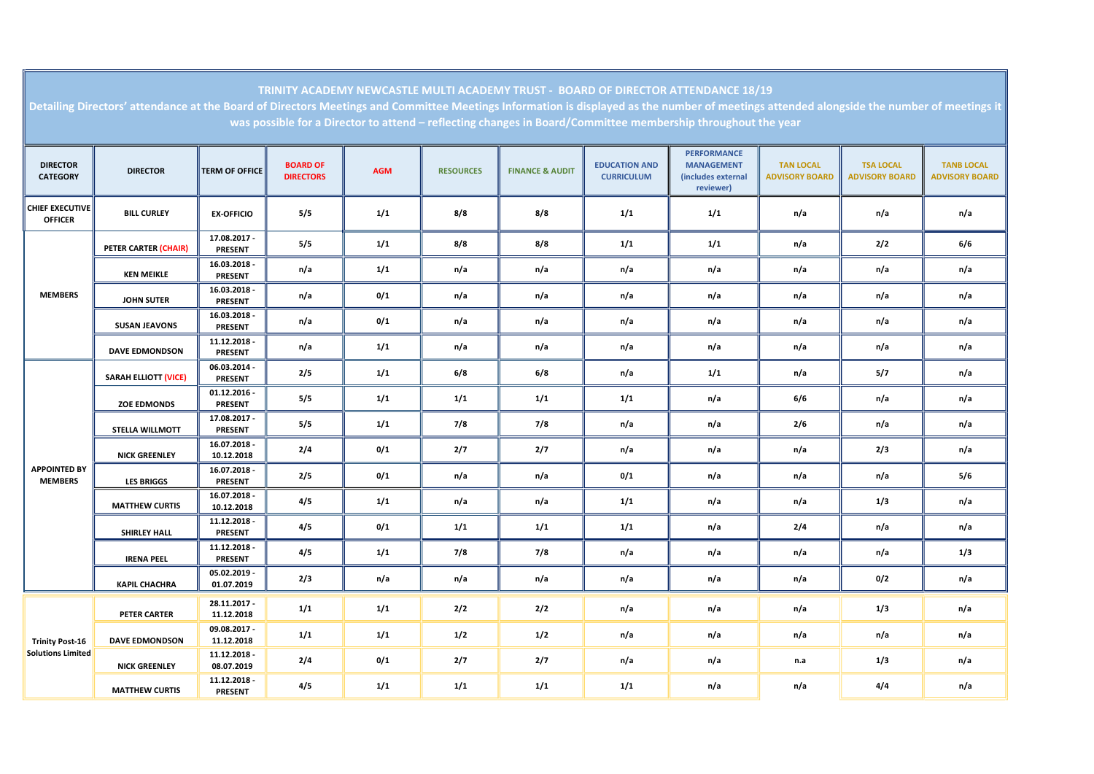| Detailing Directors' attendance at the Board of Directors Meetings and Committee Meetings Information is displayed as the number of meetings attended alongside the number of meetings it<br>was possible for a Director to attend - reflecting changes in Board/Committee membership throughout the year |                             |                                  |                                     |            |                  |                            |                                           |                                                                            |                                           |                                           |                                            |
|-----------------------------------------------------------------------------------------------------------------------------------------------------------------------------------------------------------------------------------------------------------------------------------------------------------|-----------------------------|----------------------------------|-------------------------------------|------------|------------------|----------------------------|-------------------------------------------|----------------------------------------------------------------------------|-------------------------------------------|-------------------------------------------|--------------------------------------------|
| <b>DIRECTOR</b><br><b>CATEGORY</b>                                                                                                                                                                                                                                                                        | <b>DIRECTOR</b>             | <b>TERM OF OFFICE</b>            | <b>BOARD OF</b><br><b>DIRECTORS</b> | <b>AGM</b> | <b>RESOURCES</b> | <b>FINANCE &amp; AUDIT</b> | <b>EDUCATION AND</b><br><b>CURRICULUM</b> | <b>PERFORMANCE</b><br><b>MANAGEMENT</b><br>(includes external<br>reviewer) | <b>TAN LOCAL</b><br><b>ADVISORY BOARD</b> | <b>TSA LOCAL</b><br><b>ADVISORY BOARD</b> | <b>TANB LOCAL</b><br><b>ADVISORY BOARD</b> |
| <b>CHIEF EXECUTIVE</b><br><b>OFFICER</b>                                                                                                                                                                                                                                                                  | <b>BILL CURLEY</b>          | <b>EX-OFFICIO</b>                | 5/5                                 | 1/1        | 8/8              | 8/8                        | 1/1                                       | 1/1                                                                        | n/a                                       | n/a                                       | n/a                                        |
| <b>MEMBERS</b>                                                                                                                                                                                                                                                                                            | PETER CARTER (CHAIR)        | 17.08.2017 -<br><b>PRESENT</b>   | 5/5                                 | 1/1        | 8/8              | 8/8                        | 1/1                                       | 1/1                                                                        | n/a                                       | 2/2                                       | 6/6                                        |
|                                                                                                                                                                                                                                                                                                           | <b>KEN MEIKLE</b>           | 16.03.2018 -<br><b>PRESENT</b>   | n/a                                 | 1/1        | n/a              | n/a                        | n/a                                       | n/a                                                                        | n/a                                       | n/a                                       | n/a                                        |
|                                                                                                                                                                                                                                                                                                           | <b>JOHN SUTER</b>           | 16.03.2018 -<br><b>PRESENT</b>   | n/a                                 | 0/1        | n/a              | n/a                        | n/a                                       | n/a                                                                        | n/a                                       | n/a                                       | n/a                                        |
|                                                                                                                                                                                                                                                                                                           | <b>SUSAN JEAVONS</b>        | 16.03.2018 -<br><b>PRESENT</b>   | n/a                                 | $0/1$      | n/a              | n/a                        | n/a                                       | n/a                                                                        | n/a                                       | n/a                                       | n/a                                        |
|                                                                                                                                                                                                                                                                                                           | <b>DAVE EDMONDSON</b>       | 11.12.2018 -<br><b>PRESENT</b>   | n/a                                 | 1/1        | n/a              | n/a                        | n/a                                       | n/a                                                                        | n/a                                       | n/a                                       | n/a                                        |
| <b>APPOINTED BY</b><br><b>MEMBERS</b>                                                                                                                                                                                                                                                                     | <b>SARAH ELLIOTT (VICE)</b> | 06.03.2014 -<br><b>PRESENT</b>   | 2/5                                 | 1/1        | 6/8              | 6/8                        | n/a                                       | 1/1                                                                        | n/a                                       | 5/7                                       | n/a                                        |
|                                                                                                                                                                                                                                                                                                           | <b>ZOE EDMONDS</b>          | $01.12.2016 -$<br><b>PRESENT</b> | 5/5                                 | 1/1        | 1/1              | 1/1                        | 1/1                                       | n/a                                                                        | 6/6                                       | n/a                                       | n/a                                        |
|                                                                                                                                                                                                                                                                                                           | STELLA WILLMOTT             | 17.08.2017 -<br><b>PRESENT</b>   | 5/5                                 | 1/1        | 7/8              | 7/8                        | n/a                                       | n/a                                                                        | 2/6                                       | n/a                                       | n/a                                        |
|                                                                                                                                                                                                                                                                                                           | <b>NICK GREENLEY</b>        | 16.07.2018 -<br>10.12.2018       | 2/4                                 | 0/1        | 2/7              | 2/7                        | n/a                                       | n/a                                                                        | n/a                                       | 2/3                                       | n/a                                        |
|                                                                                                                                                                                                                                                                                                           | <b>LES BRIGGS</b>           | 16.07.2018 -<br><b>PRESENT</b>   | 2/5                                 | 0/1        | n/a              | n/a                        | 0/1                                       | n/a                                                                        | n/a                                       | n/a                                       | $5/6$                                      |
|                                                                                                                                                                                                                                                                                                           | <b>MATTHEW CURTIS</b>       | 16.07.2018 -<br>10.12.2018       | 4/5                                 | 1/1        | n/a              | n/a                        | 1/1                                       | n/a                                                                        | n/a                                       | 1/3                                       | n/a                                        |
|                                                                                                                                                                                                                                                                                                           | SHIRLEY HALL                | 11.12.2018 -<br><b>PRESENT</b>   | 4/5                                 | 0/1        | 1/1              | 1/1                        | 1/1                                       | n/a                                                                        | 2/4                                       | n/a                                       | n/a                                        |
|                                                                                                                                                                                                                                                                                                           | <b>IRENA PEEL</b>           | 11.12.2018 -<br><b>PRESENT</b>   | 4/5                                 | 1/1        | 7/8              | 7/8                        | n/a                                       | n/a                                                                        | n/a                                       | n/a                                       | 1/3                                        |
|                                                                                                                                                                                                                                                                                                           | <b>KAPIL CHACHRA</b>        | 05.02.2019 -<br>01.07.2019       | 2/3                                 | n/a        | n/a              | n/a                        | n/a                                       | n/a                                                                        | n/a                                       | 0/2                                       | n/a                                        |
| <b>Trinity Post-16</b><br><b>Solutions Limited</b>                                                                                                                                                                                                                                                        | <b>PETER CARTER</b>         | 28.11.2017 -<br>11.12.2018       | $1/1$                               | 1/1        | 2/2              | 2/2                        | n/a                                       | n/a                                                                        | n/a                                       | 1/3                                       | n/a                                        |
|                                                                                                                                                                                                                                                                                                           | <b>DAVE EDMONDSON</b>       | 09.08.2017 -<br>11.12.2018       | 1/1                                 | 1/1        | 1/2              | 1/2                        | n/a                                       | n/a                                                                        | n/a                                       | n/a                                       | n/a                                        |
|                                                                                                                                                                                                                                                                                                           | <b>NICK GREENLEY</b>        | 11.12.2018 -<br>08.07.2019       | 2/4                                 | 0/1        | 2/7              | 2/7                        | n/a                                       | n/a                                                                        | n.a                                       | 1/3                                       | n/a                                        |
|                                                                                                                                                                                                                                                                                                           | <b>MATTHEW CURTIS</b>       | 11.12.2018 -<br><b>PRESENT</b>   | 4/5                                 | 1/1        | 1/1              | 1/1                        | 1/1                                       | n/a                                                                        | n/a                                       | 4/4                                       | n/a                                        |

TRINITY ACADEMY NEWCASTLE MULTI ACADEMY TRUST - BOARD OF DIRECTOR ATTENDANCE 18/19